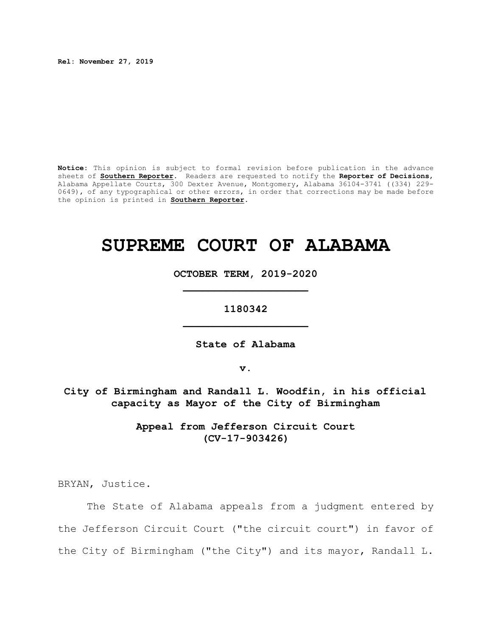**Rel: November 27, 2019**

**Notice:** This opinion is subject to formal revision before publication in the advance sheets of **Southern Reporter**. Readers are requested to notify the **Reporter of Decisions**, Alabama Appellate Courts, 300 Dexter Avenue, Montgomery, Alabama 36104-3741 ((334) 229- 0649), of any typographical or other errors, in order that corrections may be made before the opinion is printed in **Southern Reporter**.

# **SUPREME COURT OF ALABAMA**

**OCTOBER TERM, 2019-2020 \_\_\_\_\_\_\_\_\_\_\_\_\_\_\_\_\_\_\_\_**

**1180342 \_\_\_\_\_\_\_\_\_\_\_\_\_\_\_\_\_\_\_\_**

**State of Alabama**

**v.**

**City of Birmingham and Randall L. Woodfin, in his official capacity as Mayor of the City of Birmingham**

> **Appeal from Jefferson Circuit Court (CV-17-903426)**

BRYAN, Justice.

The State of Alabama appeals from a judgment entered by the Jefferson Circuit Court ("the circuit court") in favor of the City of Birmingham ("the City") and its mayor, Randall L.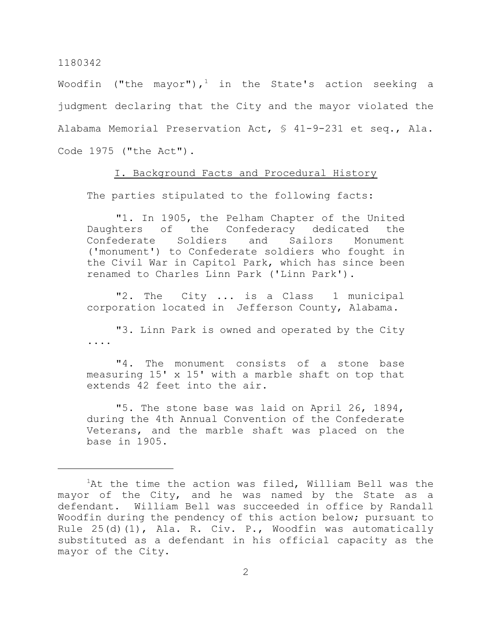Woodfin ("the mayor"), $^1$  in the State's action seeking a judgment declaring that the City and the mayor violated the Alabama Memorial Preservation Act, § 41-9-231 et seq., Ala. Code 1975 ("the Act").

# I. Background Facts and Procedural History

The parties stipulated to the following facts:

"1. In 1905, the Pelham Chapter of the United Daughters of the Confederacy dedicated the Confederate Soldiers and Sailors Monument ('monument') to Confederate soldiers who fought in the Civil War in Capitol Park, which has since been renamed to Charles Linn Park ('Linn Park').

"2. The City ... is a Class 1 municipal corporation located in Jefferson County, Alabama.

"3. Linn Park is owned and operated by the City ....

"4. The monument consists of a stone base measuring 15' x 15' with a marble shaft on top that extends 42 feet into the air.

"5. The stone base was laid on April 26, 1894, during the 4th Annual Convention of the Confederate Veterans, and the marble shaft was placed on the base in 1905.

 ${}^{1}$ At the time the action was filed, William Bell was the mayor of the City, and he was named by the State as a defendant. William Bell was succeeded in office by Randall Woodfin during the pendency of this action below; pursuant to Rule 25(d)(1), Ala. R. Civ. P., Woodfin was automatically substituted as a defendant in his official capacity as the mayor of the City.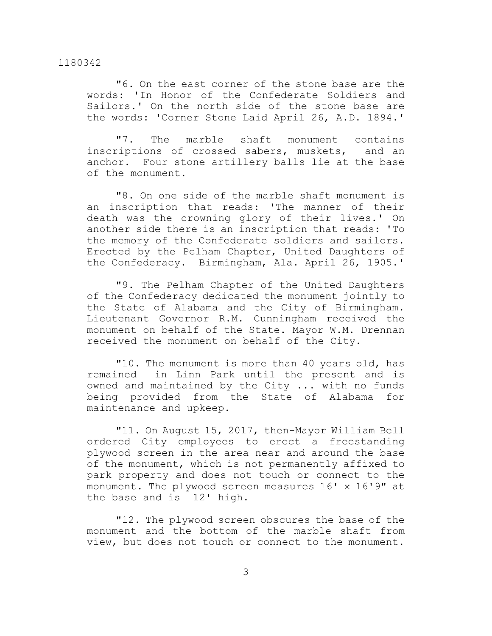"6. On the east corner of the stone base are the words: 'In Honor of the Confederate Soldiers and Sailors.' On the north side of the stone base are the words: 'Corner Stone Laid April 26, A.D. 1894.'

"7. The marble shaft monument contains inscriptions of crossed sabers, muskets, and an anchor. Four stone artillery balls lie at the base of the monument.

"8. On one side of the marble shaft monument is an inscription that reads: 'The manner of their death was the crowning glory of their lives.' On another side there is an inscription that reads: 'To the memory of the Confederate soldiers and sailors. Erected by the Pelham Chapter, United Daughters of the Confederacy. Birmingham, Ala. April 26, 1905.'

"9. The Pelham Chapter of the United Daughters of the Confederacy dedicated the monument jointly to the State of Alabama and the City of Birmingham. Lieutenant Governor R.M. Cunningham received the monument on behalf of the State. Mayor W.M. Drennan received the monument on behalf of the City.

"10. The monument is more than 40 years old, has remained in Linn Park until the present and is owned and maintained by the City ... with no funds being provided from the State of Alabama for maintenance and upkeep.

"11. On August 15, 2017, then-Mayor William Bell ordered City employees to erect a freestanding plywood screen in the area near and around the base of the monument, which is not permanently affixed to park property and does not touch or connect to the monument. The plywood screen measures 16' x 16'9" at the base and is 12' high.

"12. The plywood screen obscures the base of the monument and the bottom of the marble shaft from view, but does not touch or connect to the monument.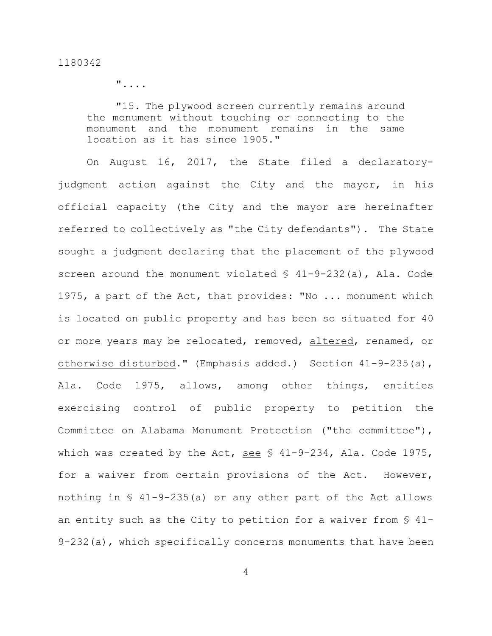"....

"15. The plywood screen currently remains around the monument without touching or connecting to the monument and the monument remains in the same location as it has since 1905."

On August 16, 2017, the State filed a declaratoryjudgment action against the City and the mayor, in his official capacity (the City and the mayor are hereinafter referred to collectively as "the City defendants"). The State sought a judgment declaring that the placement of the plywood screen around the monument violated § 41-9-232(a), Ala. Code 1975, a part of the Act, that provides: "No ... monument which is located on public property and has been so situated for 40 or more years may be relocated, removed, altered, renamed, or otherwise disturbed." (Emphasis added.) Section 41-9-235(a), Ala. Code 1975, allows, among other things, entities exercising control of public property to petition the Committee on Alabama Monument Protection ("the committee"), which was created by the Act, see § 41-9-234, Ala. Code 1975, for a waiver from certain provisions of the Act. However, nothing in § 41-9-235(a) or any other part of the Act allows an entity such as the City to petition for a waiver from § 41-  $9-232$  (a), which specifically concerns monuments that have been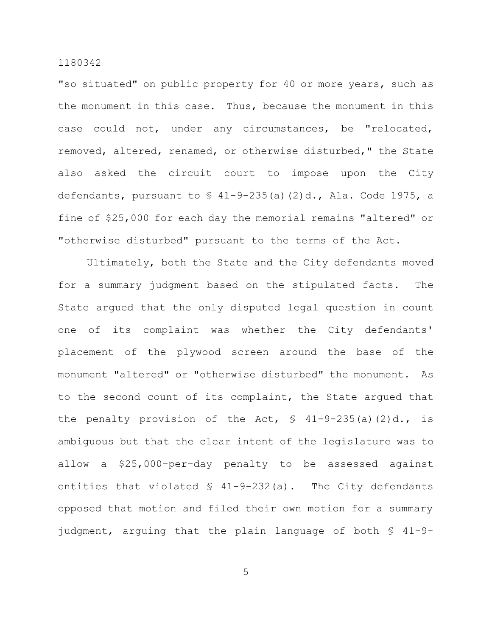"so situated" on public property for 40 or more years, such as the monument in this case. Thus, because the monument in this case could not, under any circumstances, be "relocated, removed, altered, renamed, or otherwise disturbed," the State also asked the circuit court to impose upon the City defendants, pursuant to  $\frac{1}{2}$  41-9-235(a)(2)d., Ala. Code 1975, a fine of \$25,000 for each day the memorial remains "altered" or "otherwise disturbed" pursuant to the terms of the Act.

Ultimately, both the State and the City defendants moved for a summary judgment based on the stipulated facts. The State argued that the only disputed legal question in count one of its complaint was whether the City defendants' placement of the plywood screen around the base of the monument "altered" or "otherwise disturbed" the monument. As to the second count of its complaint, the State argued that the penalty provision of the Act,  $\frac{1}{2}$  41-9-235(a)(2)d., is ambiguous but that the clear intent of the legislature was to allow a \$25,000-per-day penalty to be assessed against entities that violated § 41-9-232(a). The City defendants opposed that motion and filed their own motion for a summary judgment, arguing that the plain language of both § 41-9-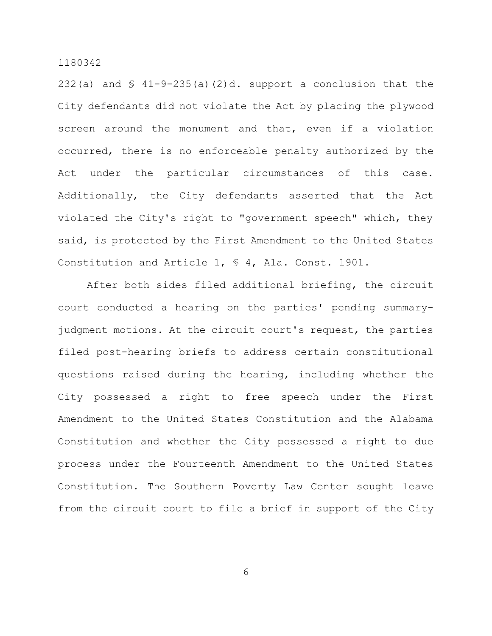232(a) and  $\frac{1}{2}$  41-9-235(a)(2)d. support a conclusion that the City defendants did not violate the Act by placing the plywood screen around the monument and that, even if a violation occurred, there is no enforceable penalty authorized by the Act under the particular circumstances of this case. Additionally, the City defendants asserted that the Act violated the City's right to "government speech" which, they said, is protected by the First Amendment to the United States Constitution and Article 1, § 4, Ala. Const. 1901.

After both sides filed additional briefing, the circuit court conducted a hearing on the parties' pending summaryjudgment motions. At the circuit court's request, the parties filed post-hearing briefs to address certain constitutional questions raised during the hearing, including whether the City possessed a right to free speech under the First Amendment to the United States Constitution and the Alabama Constitution and whether the City possessed a right to due process under the Fourteenth Amendment to the United States Constitution. The Southern Poverty Law Center sought leave from the circuit court to file a brief in support of the City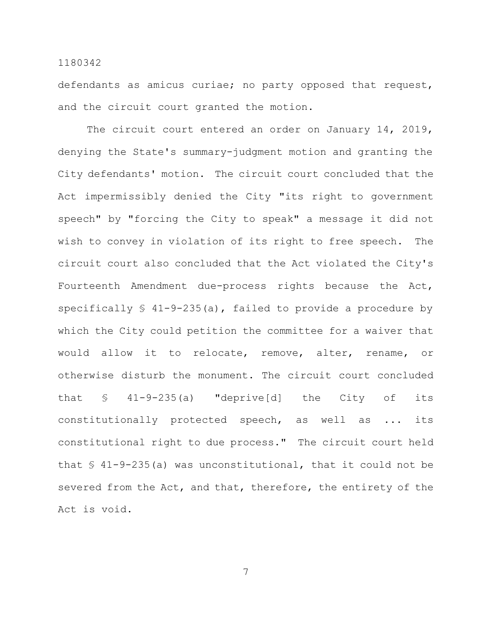defendants as amicus curiae; no party opposed that request, and the circuit court granted the motion.

The circuit court entered an order on January 14, 2019, denying the State's summary-judgment motion and granting the City defendants' motion. The circuit court concluded that the Act impermissibly denied the City "its right to government speech" by "forcing the City to speak" a message it did not wish to convey in violation of its right to free speech. The circuit court also concluded that the Act violated the City's Fourteenth Amendment due-process rights because the Act, specifically  $\frac{1}{2}$  41-9-235(a), failed to provide a procedure by which the City could petition the committee for a waiver that would allow it to relocate, remove, alter, rename, or otherwise disturb the monument. The circuit court concluded that § 41-9-235(a) "deprive[d] the City of its constitutionally protected speech, as well as ... its constitutional right to due process." The circuit court held that  $\S$  41-9-235(a) was unconstitutional, that it could not be severed from the Act, and that, therefore, the entirety of the Act is void.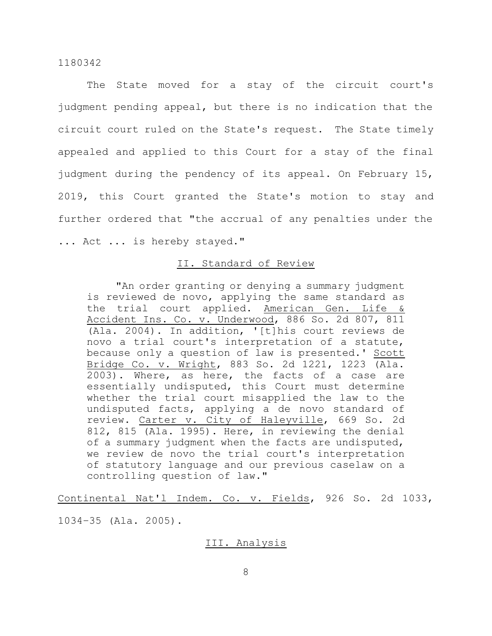The State moved for a stay of the circuit court's judgment pending appeal, but there is no indication that the circuit court ruled on the State's request. The State timely appealed and applied to this Court for a stay of the final judgment during the pendency of its appeal. On February 15, 2019, this Court granted the State's motion to stay and further ordered that "the accrual of any penalties under the ... Act ... is hereby stayed."

# II. Standard of Review

"An order granting or denying a summary judgment is reviewed de novo, applying the same standard as the trial court applied. American Gen. Life & Accident Ins. Co. v. Underwood, 886 So. 2d 807, 811 (Ala. 2004). In addition, '[t]his court reviews de novo a trial court's interpretation of a statute, because only a question of law is presented.' Scott Bridge Co. v. Wright, 883 So. 2d 1221, 1223 (Ala. 2003). Where, as here, the facts of a case are essentially undisputed, this Court must determine whether the trial court misapplied the law to the undisputed facts, applying a de novo standard of review. Carter v. City of Haleyville, 669 So. 2d 812, 815 (Ala. 1995). Here, in reviewing the denial of a summary judgment when the facts are undisputed, we review de novo the trial court's interpretation of statutory language and our previous caselaw on a controlling question of law."

Continental Nat'l Indem. Co. v. Fields, 926 So. 2d 1033, 1034–35 (Ala. 2005).

# III. Analysis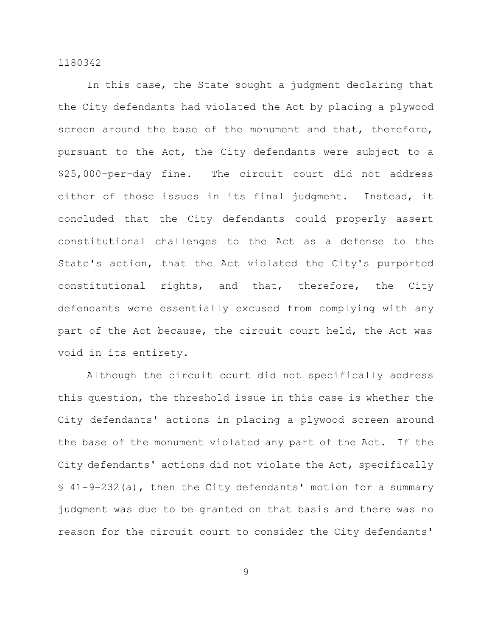In this case, the State sought a judgment declaring that the City defendants had violated the Act by placing a plywood screen around the base of the monument and that, therefore, pursuant to the Act, the City defendants were subject to a \$25,000-per-day fine. The circuit court did not address either of those issues in its final judgment. Instead, it concluded that the City defendants could properly assert constitutional challenges to the Act as a defense to the State's action, that the Act violated the City's purported constitutional rights, and that, therefore, the City defendants were essentially excused from complying with any part of the Act because, the circuit court held, the Act was void in its entirety.

Although the circuit court did not specifically address this question, the threshold issue in this case is whether the City defendants' actions in placing a plywood screen around the base of the monument violated any part of the Act. If the City defendants' actions did not violate the Act, specifically § 41-9-232(a), then the City defendants' motion for a summary judgment was due to be granted on that basis and there was no reason for the circuit court to consider the City defendants'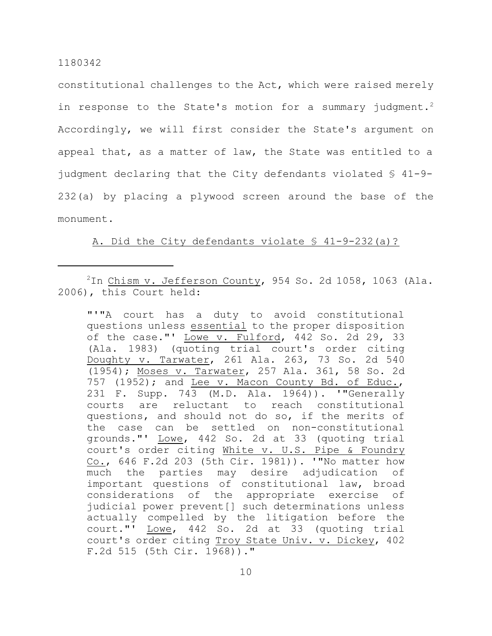constitutional challenges to the Act, which were raised merely in response to the State's motion for a summary judgment.<sup>2</sup> Accordingly, we will first consider the State's argument on appeal that, as a matter of law, the State was entitled to a judgment declaring that the City defendants violated § 41-9- 232(a) by placing a plywood screen around the base of the monument.

# A. Did the City defendants violate § 41-9-232(a)?

"'"A court has a duty to avoid constitutional questions unless essential to the proper disposition of the case."'  $\underline{Lower}$  v. Fulford, 442 So. 2d 29, 33 (Ala. 1983) (quoting trial court's order citing Doughty v. Tarwater, 261 Ala. 263, 73 So. 2d 540 (1954); Moses v. Tarwater, 257 Ala. 361, 58 So. 2d 757 (1952); and Lee v. Macon County Bd. of Educ., 231 F. Supp. 743 (M.D. Ala. 1964)). '"Generally courts are reluctant to reach constitutional questions, and should not do so, if the merits of the case can be settled on non-constitutional grounds."' Lowe, 442 So. 2d at 33 (quoting trial court's order citing White v. U.S. Pipe & Foundry Co., 646 F.2d 203 (5th Cir. 1981)). '"No matter how much the parties may desire adjudication of important questions of constitutional law, broad considerations of the appropriate exercise of judicial power prevent[] such determinations unless actually compelled by the litigation before the court."' Lowe, 442 So. 2d at 33 (quoting trial court's order citing Troy State Univ. v. Dickey, 402 F.2d 515 (5th Cir. 1968))."

 $2$ In Chism v. Jefferson County, 954 So. 2d 1058, 1063 (Ala. 2006), this Court held: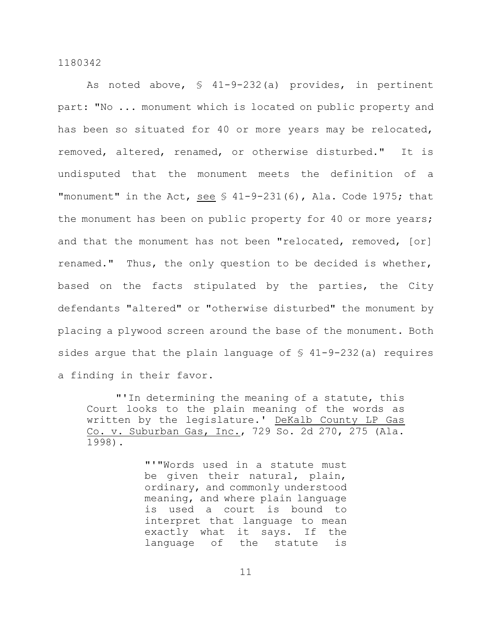As noted above, § 41-9-232(a) provides, in pertinent part: "No ... monument which is located on public property and has been so situated for 40 or more years may be relocated, removed, altered, renamed, or otherwise disturbed." It is undisputed that the monument meets the definition of a "monument" in the Act, see  $$ 41-9-231(6)$ , Ala. Code 1975; that the monument has been on public property for 40 or more years; and that the monument has not been "relocated, removed, [or] renamed." Thus, the only question to be decided is whether, based on the facts stipulated by the parties, the City defendants "altered" or "otherwise disturbed" the monument by placing a plywood screen around the base of the monument. Both sides argue that the plain language of  $\frac{1}{2}$  41-9-232(a) requires a finding in their favor.

"'In determining the meaning of a statute, this Court looks to the plain meaning of the words as written by the legislature.' DeKalb County LP Gas Co. v. Suburban Gas, Inc., 729 So. 2d 270, 275 (Ala. 1998).

> "'"Words used in a statute must be given their natural, plain, ordinary, and commonly understood meaning, and where plain language is used a court is bound to interpret that language to mean exactly what it says. If the language of the statute is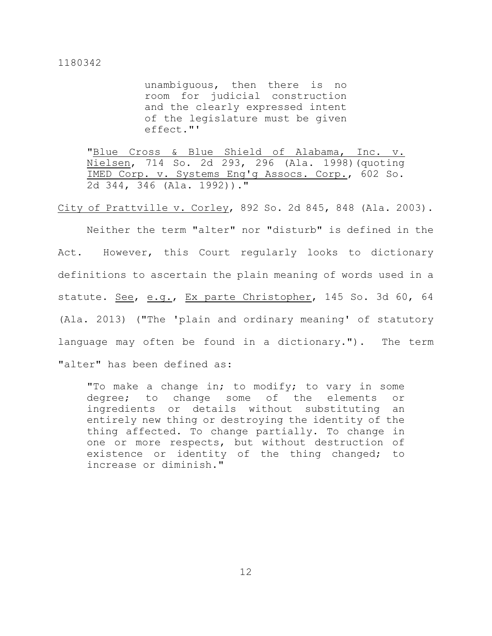unambiguous, then there is no room for judicial construction and the clearly expressed intent of the legislature must be given effect."'

"Blue Cross & Blue Shield of Alabama, Inc. v. Nielsen, 714 So. 2d 293, 296 (Ala. 1998)(quoting IMED Corp. v. Systems Eng'g Assocs. Corp., 602 So. 2d 344, 346 (Ala. 1992))."

City of Prattville v. Corley, 892 So. 2d 845, 848 (Ala. 2003).

Neither the term "alter" nor "disturb" is defined in the Act. However, this Court regularly looks to dictionary definitions to ascertain the plain meaning of words used in a statute. See, e.g., Ex parte Christopher, 145 So. 3d 60, 64 (Ala. 2013) ("The 'plain and ordinary meaning' of statutory language may often be found in a dictionary."). The term "alter" has been defined as:

"To make a change in; to modify; to vary in some degree; to change some of the elements or ingredients or details without substituting an entirely new thing or destroying the identity of the thing affected. To change partially. To change in one or more respects, but without destruction of existence or identity of the thing changed; to increase or diminish."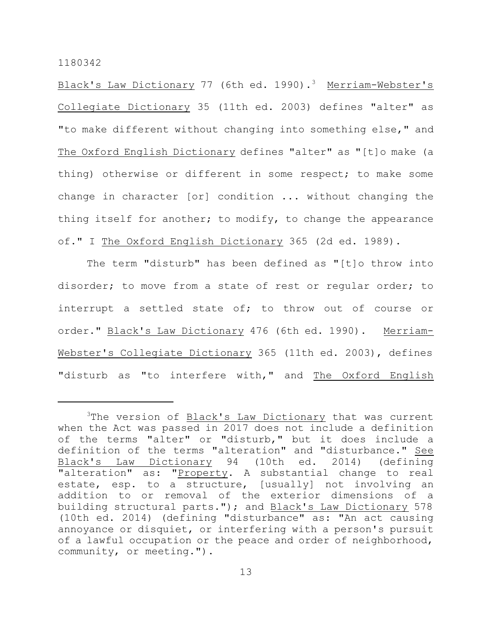Black's Law Dictionary 77 (6th ed. 1990).<sup>3</sup> Merriam-Webster's Collegiate Dictionary 35 (11th ed. 2003) defines "alter" as "to make different without changing into something else," and The Oxford English Dictionary defines "alter" as "[t]o make (a thing) otherwise or different in some respect; to make some change in character [or] condition ... without changing the thing itself for another; to modify, to change the appearance of." I The Oxford English Dictionary 365 (2d ed. 1989).

The term "disturb" has been defined as "[t]o throw into disorder; to move from a state of rest or regular order; to interrupt a settled state of; to throw out of course or order." Black's Law Dictionary 476 (6th ed. 1990). Merriam-Webster's Collegiate Dictionary 365 (11th ed. 2003), defines "disturb as "to interfere with," and The Oxford English

<sup>&</sup>lt;sup>3</sup>The version of Black's Law Dictionary that was current when the Act was passed in 2017 does not include a definition of the terms "alter" or "disturb," but it does include a definition of the terms "alteration" and "disturbance." See Black's Law Dictionary 94 (10th ed. 2014) (defining "alteration" as: "Property. A substantial change to real estate, esp. to a structure, [usually] not involving an addition to or removal of the exterior dimensions of a building structural parts."); and Black's Law Dictionary 578 (10th ed. 2014) (defining "disturbance" as: "An act causing annoyance or disquiet, or interfering with a person's pursuit of a lawful occupation or the peace and order of neighborhood, community, or meeting.").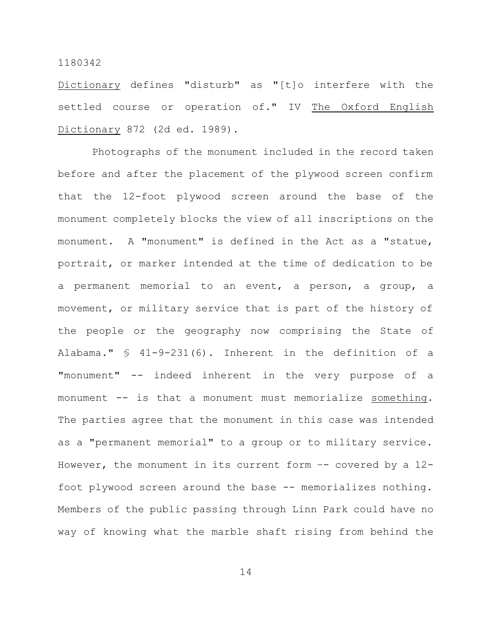Dictionary defines "disturb" as "[t]o interfere with the settled course or operation of." IV The Oxford English Dictionary 872 (2d ed. 1989).

Photographs of the monument included in the record taken before and after the placement of the plywood screen confirm that the 12-foot plywood screen around the base of the monument completely blocks the view of all inscriptions on the monument. A "monument" is defined in the Act as a "statue, portrait, or marker intended at the time of dedication to be a permanent memorial to an event, a person, a group, a movement, or military service that is part of the history of the people or the geography now comprising the State of Alabama." § 41-9-231(6). Inherent in the definition of a "monument" -- indeed inherent in the very purpose of a monument -- is that a monument must memorialize something. The parties agree that the monument in this case was intended as a "permanent memorial" to a group or to military service. However, the monument in its current form  $-$  covered by a 12foot plywood screen around the base -- memorializes nothing. Members of the public passing through Linn Park could have no way of knowing what the marble shaft rising from behind the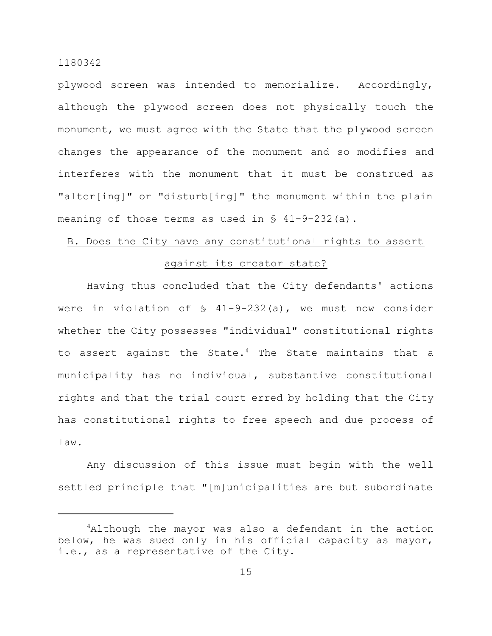plywood screen was intended to memorialize. Accordingly, although the plywood screen does not physically touch the monument, we must agree with the State that the plywood screen changes the appearance of the monument and so modifies and interferes with the monument that it must be construed as "alter[ing]" or "disturb[ing]" the monument within the plain meaning of those terms as used in  $\S$  41-9-232(a).

# B. Does the City have any constitutional rights to assert

## against its creator state?

Having thus concluded that the City defendants' actions were in violation of  $\frac{1}{2}$  41-9-232(a), we must now consider whether the City possesses "individual" constitutional rights to assert against the State.<sup>4</sup> The State maintains that a municipality has no individual, substantive constitutional rights and that the trial court erred by holding that the City has constitutional rights to free speech and due process of law.

Any discussion of this issue must begin with the well settled principle that "[m]unicipalities are but subordinate

<sup>&</sup>lt;sup>4</sup>Although the mayor was also a defendant in the action below, he was sued only in his official capacity as mayor, i.e., as a representative of the City.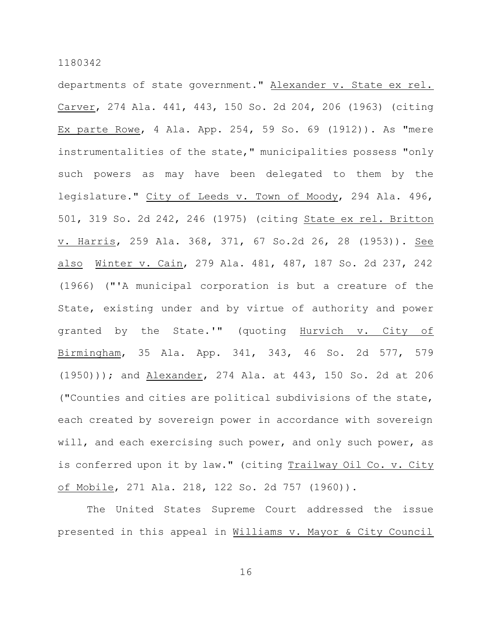departments of state government." Alexander v. State ex rel. Carver, 274 Ala. 441, 443, 150 So. 2d 204, 206 (1963) (citing Ex parte Rowe, 4 Ala. App. 254, 59 So. 69 (1912)). As "mere instrumentalities of the state," municipalities possess "only such powers as may have been delegated to them by the legislature." City of Leeds v. Town of Moody, 294 Ala. 496, 501, 319 So. 2d 242, 246 (1975) (citing State ex rel. Britton v. Harris, 259 Ala. 368, 371, 67 So.2d 26, 28 (1953)). See also Winter v. Cain, 279 Ala. 481, 487, 187 So. 2d 237, 242 (1966) ("'A municipal corporation is but a creature of the State, existing under and by virtue of authority and power granted by the State.'" (quoting Hurvich v. City of Birmingham, 35 Ala. App. 341, 343, 46 So. 2d 577, 579 (1950))); and Alexander, 274 Ala. at 443, 150 So. 2d at 206 ("Counties and cities are political subdivisions of the state, each created by sovereign power in accordance with sovereign will, and each exercising such power, and only such power, as is conferred upon it by law." (citing Trailway Oil Co. v. City of Mobile, 271 Ala. 218, 122 So. 2d 757 (1960)).

The United States Supreme Court addressed the issue presented in this appeal in Williams v. Mayor & City Council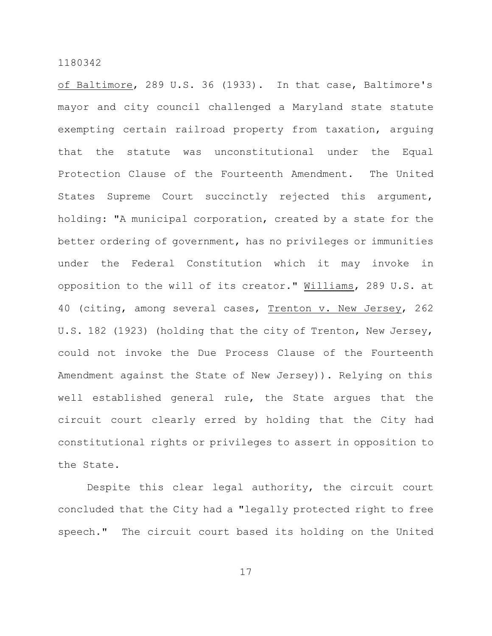of Baltimore, 289 U.S. 36 (1933). In that case, Baltimore's mayor and city council challenged a Maryland state statute exempting certain railroad property from taxation, arguing that the statute was unconstitutional under the Equal Protection Clause of the Fourteenth Amendment. The United States Supreme Court succinctly rejected this argument, holding: "A municipal corporation, created by a state for the better ordering of government, has no privileges or immunities under the Federal Constitution which it may invoke in opposition to the will of its creator." Williams, 289 U.S. at 40 (citing, among several cases, Trenton v. New Jersey, 262 U.S. 182 (1923) (holding that the city of Trenton, New Jersey, could not invoke the Due Process Clause of the Fourteenth Amendment against the State of New Jersey)). Relying on this well established general rule, the State argues that the circuit court clearly erred by holding that the City had constitutional rights or privileges to assert in opposition to the State.

Despite this clear legal authority, the circuit court concluded that the City had a "legally protected right to free speech." The circuit court based its holding on the United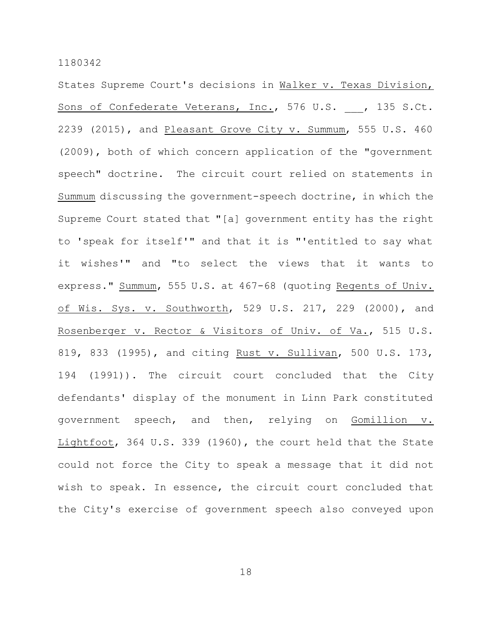States Supreme Court's decisions in Walker v. Texas Division, Sons of Confederate Veterans, Inc., 576 U.S. , 135 S.Ct. 2239 (2015), and Pleasant Grove City v. Summum, 555 U.S. 460 (2009), both of which concern application of the "government speech" doctrine. The circuit court relied on statements in Summum discussing the government-speech doctrine, in which the Supreme Court stated that "[a] government entity has the right to 'speak for itself'" and that it is "'entitled to say what it wishes'" and "to select the views that it wants to express." Summum, 555 U.S. at 467-68 (quoting Regents of Univ. of Wis. Sys. v. Southworth, 529 U.S. 217, 229 (2000), and Rosenberger v. Rector & Visitors of Univ. of Va., 515 U.S. 819, 833 (1995), and citing Rust v. Sullivan, 500 U.S. 173, 194 (1991)). The circuit court concluded that the City defendants' display of the monument in Linn Park constituted government speech, and then, relying on Gomillion v. Lightfoot, 364 U.S. 339 (1960), the court held that the State could not force the City to speak a message that it did not wish to speak. In essence, the circuit court concluded that the City's exercise of government speech also conveyed upon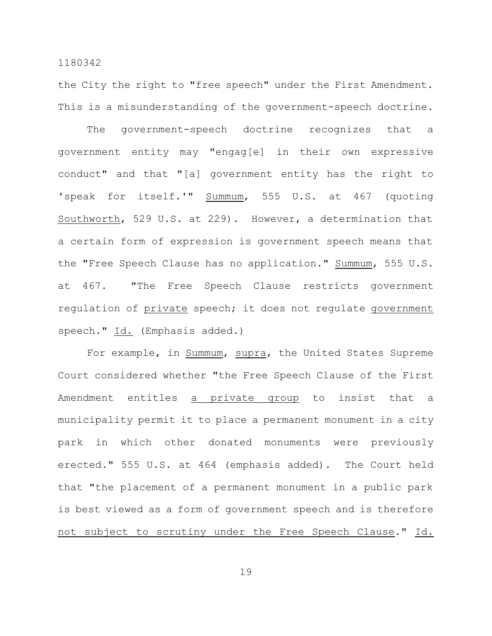the City the right to "free speech" under the First Amendment. This is a misunderstanding of the government-speech doctrine.

The government-speech doctrine recognizes that a government entity may "engag[e] in their own expressive conduct" and that "[a] government entity has the right to 'speak for itself.'" Summum, 555 U.S. at 467 (quoting Southworth, 529 U.S. at 229). However, a determination that a certain form of expression is government speech means that the "Free Speech Clause has no application." Summum, 555 U.S. at 467. "The Free Speech Clause restricts government regulation of private speech; it does not regulate government speech." Id. (Emphasis added.)

For example, in Summum, supra, the United States Supreme Court considered whether "the Free Speech Clause of the First Amendment entitles a private group to insist that a municipality permit it to place a permanent monument in a city park in which other donated monuments were previously erected." 555 U.S. at 464 (emphasis added). The Court held that "the placement of a permanent monument in a public park is best viewed as a form of government speech and is therefore not subject to scrutiny under the Free Speech Clause." Id.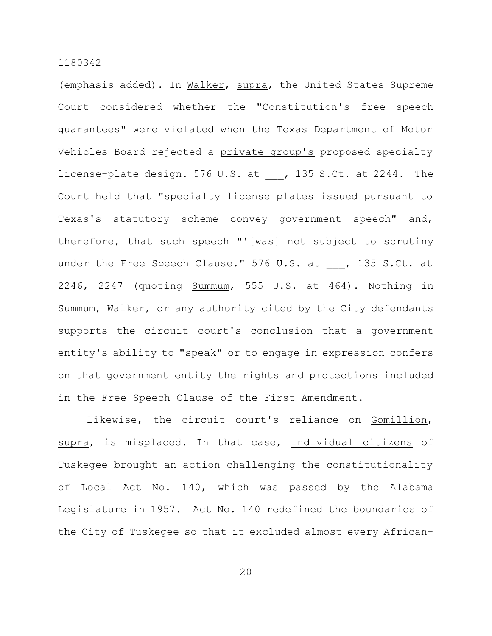(emphasis added). In Walker, supra, the United States Supreme Court considered whether the "Constitution's free speech guarantees" were violated when the Texas Department of Motor Vehicles Board rejected a private group's proposed specialty license-plate design. 576 U.S. at , 135 S.Ct. at 2244. The Court held that "specialty license plates issued pursuant to Texas's statutory scheme convey government speech" and, therefore, that such speech "'[was] not subject to scrutiny under the Free Speech Clause." 576 U.S. at \_\_\_, 135 S.Ct. at 2246, 2247 (quoting Summum, 555 U.S. at 464). Nothing in Summum, Walker, or any authority cited by the City defendants supports the circuit court's conclusion that a government entity's ability to "speak" or to engage in expression confers on that government entity the rights and protections included in the Free Speech Clause of the First Amendment.

Likewise, the circuit court's reliance on Gomillion, supra, is misplaced. In that case, individual citizens of Tuskegee brought an action challenging the constitutionality of Local Act No. 140, which was passed by the Alabama Legislature in 1957. Act No. 140 redefined the boundaries of the City of Tuskegee so that it excluded almost every African-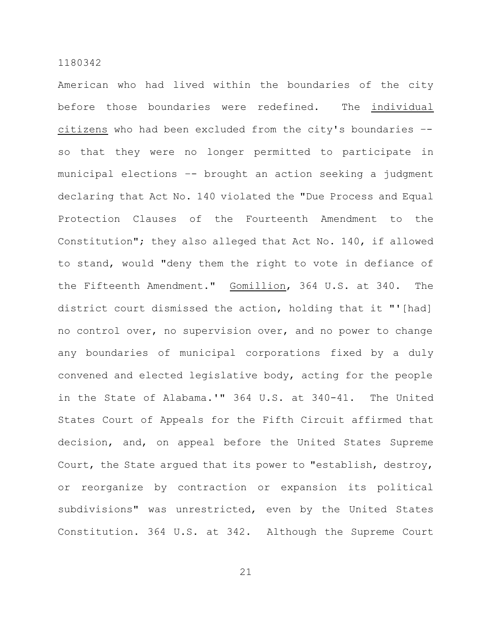American who had lived within the boundaries of the city before those boundaries were redefined. The individual citizens who had been excluded from the city's boundaries – so that they were no longer permitted to participate in municipal elections –- brought an action seeking a judgment declaring that Act No. 140 violated the "Due Process and Equal Protection Clauses of the Fourteenth Amendment to the Constitution"; they also alleged that Act No. 140, if allowed to stand, would "deny them the right to vote in defiance of the Fifteenth Amendment." Gomillion, 364 U.S. at 340. The district court dismissed the action, holding that it "'[had] no control over, no supervision over, and no power to change any boundaries of municipal corporations fixed by a duly convened and elected legislative body, acting for the people in the State of Alabama.'" 364 U.S. at 340-41. The United States Court of Appeals for the Fifth Circuit affirmed that decision, and, on appeal before the United States Supreme Court, the State argued that its power to "establish, destroy, or reorganize by contraction or expansion its political subdivisions" was unrestricted, even by the United States Constitution. 364 U.S. at 342. Although the Supreme Court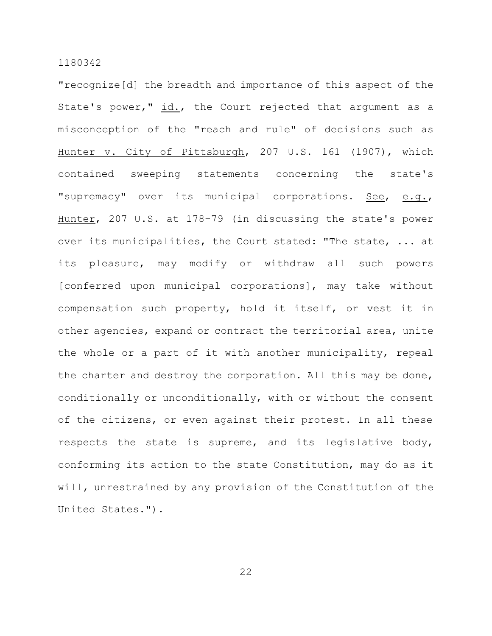"recognize[d] the breadth and importance of this aspect of the State's power," id., the Court rejected that argument as a misconception of the "reach and rule" of decisions such as Hunter v. City of Pittsburgh, 207 U.S. 161 (1907), which contained sweeping statements concerning the state's "supremacy" over its municipal corporations. See, e.g., Hunter, 207 U.S. at 178-79 (in discussing the state's power over its municipalities, the Court stated: "The state, ... at its pleasure, may modify or withdraw all such powers [conferred upon municipal corporations], may take without compensation such property, hold it itself, or vest it in other agencies, expand or contract the territorial area, unite the whole or a part of it with another municipality, repeal the charter and destroy the corporation. All this may be done, conditionally or unconditionally, with or without the consent of the citizens, or even against their protest. In all these respects the state is supreme, and its legislative body, conforming its action to the state Constitution, may do as it will, unrestrained by any provision of the Constitution of the United States.").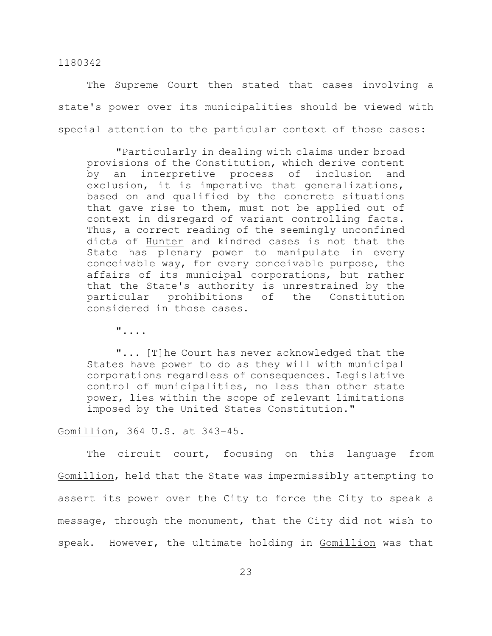The Supreme Court then stated that cases involving a state's power over its municipalities should be viewed with special attention to the particular context of those cases:

"Particularly in dealing with claims under broad provisions of the Constitution, which derive content by an interpretive process of inclusion and exclusion, it is imperative that generalizations, based on and qualified by the concrete situations that gave rise to them, must not be applied out of context in disregard of variant controlling facts. Thus, a correct reading of the seemingly unconfined dicta of Hunter and kindred cases is not that the State has plenary power to manipulate in every conceivable way, for every conceivable purpose, the affairs of its municipal corporations, but rather that the State's authority is unrestrained by the particular prohibitions of the Constitution considered in those cases.

"....

"... [T]he Court has never acknowledged that the States have power to do as they will with municipal corporations regardless of consequences. Legislative control of municipalities, no less than other state power, lies within the scope of relevant limitations imposed by the United States Constitution."

Gomillion, 364 U.S. at 343–45.

The circuit court, focusing on this language from Gomillion, held that the State was impermissibly attempting to assert its power over the City to force the City to speak a message, through the monument, that the City did not wish to speak. However, the ultimate holding in Gomillion was that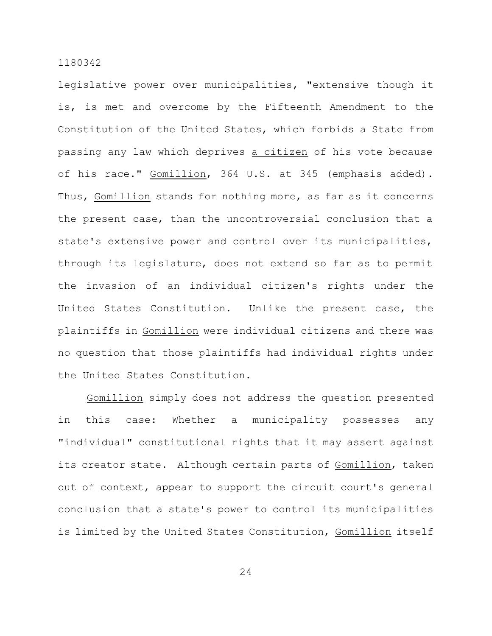legislative power over municipalities, "extensive though it is, is met and overcome by the Fifteenth Amendment to the Constitution of the United States, which forbids a State from passing any law which deprives a citizen of his vote because of his race." Gomillion, 364 U.S. at 345 (emphasis added). Thus, Gomillion stands for nothing more, as far as it concerns the present case, than the uncontroversial conclusion that a state's extensive power and control over its municipalities, through its legislature, does not extend so far as to permit the invasion of an individual citizen's rights under the United States Constitution. Unlike the present case, the plaintiffs in Gomillion were individual citizens and there was no question that those plaintiffs had individual rights under the United States Constitution.

Gomillion simply does not address the question presented in this case: Whether a municipality possesses any "individual" constitutional rights that it may assert against its creator state. Although certain parts of Gomillion, taken out of context, appear to support the circuit court's general conclusion that a state's power to control its municipalities is limited by the United States Constitution, Gomillion itself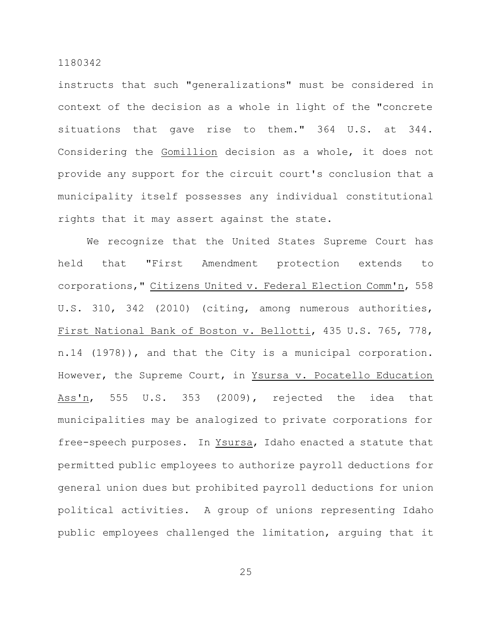instructs that such "generalizations" must be considered in context of the decision as a whole in light of the "concrete situations that gave rise to them." 364 U.S. at 344. Considering the Gomillion decision as a whole, it does not provide any support for the circuit court's conclusion that a municipality itself possesses any individual constitutional rights that it may assert against the state.

We recognize that the United States Supreme Court has held that "First Amendment protection extends to corporations," Citizens United v. Federal Election Comm'n, 558 U.S. 310, 342 (2010) (citing, among numerous authorities, First National Bank of Boston v. Bellotti, 435 U.S. 765, 778, n.14 (1978)), and that the City is a municipal corporation. However, the Supreme Court, in Ysursa v. Pocatello Education Ass'n, 555 U.S. 353 (2009), rejected the idea that municipalities may be analogized to private corporations for free-speech purposes. In Ysursa, Idaho enacted a statute that permitted public employees to authorize payroll deductions for general union dues but prohibited payroll deductions for union political activities. A group of unions representing Idaho public employees challenged the limitation, arguing that it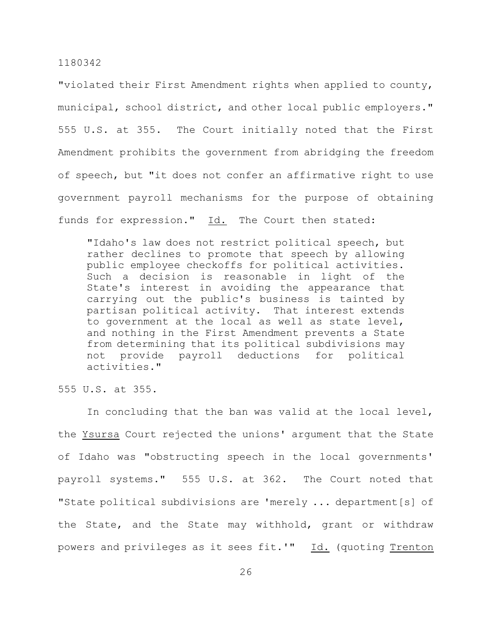"violated their First Amendment rights when applied to county, municipal, school district, and other local public employers." 555 U.S. at 355. The Court initially noted that the First Amendment prohibits the government from abridging the freedom of speech, but "it does not confer an affirmative right to use government payroll mechanisms for the purpose of obtaining funds for expression." Id. The Court then stated:

"Idaho's law does not restrict political speech, but rather declines to promote that speech by allowing public employee checkoffs for political activities. Such a decision is reasonable in light of the State's interest in avoiding the appearance that carrying out the public's business is tainted by partisan political activity. That interest extends to government at the local as well as state level, and nothing in the First Amendment prevents a State from determining that its political subdivisions may not provide payroll deductions for political activities."

555 U.S. at 355.

In concluding that the ban was valid at the local level, the Ysursa Court rejected the unions' argument that the State of Idaho was "obstructing speech in the local governments' payroll systems." 555 U.S. at 362. The Court noted that "State political subdivisions are 'merely ... department[s] of the State, and the State may withhold, grant or withdraw powers and privileges as it sees fit.'" Id. (quoting Trenton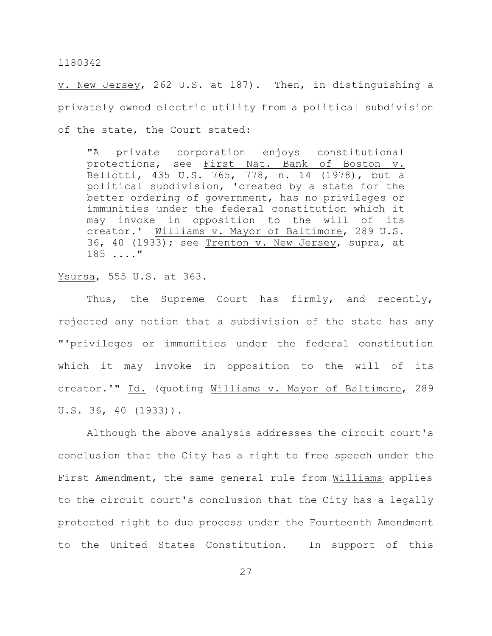v. New Jersey, 262 U.S. at 187). Then, in distinguishing a privately owned electric utility from a political subdivision of the state, the Court stated:

"A private corporation enjoys constitutional protections, see First Nat. Bank of Boston v. Bellotti, 435 U.S. 765, 778, n. 14 (1978), but a political subdivision, 'created by a state for the better ordering of government, has no privileges or immunities under the federal constitution which it may invoke in opposition to the will of its creator.' Williams v. Mayor of Baltimore, 289 U.S. 36, 40 (1933); see Trenton v. New Jersey, supra, at 185 ...."

#### Ysursa, 555 U.S. at 363.

Thus, the Supreme Court has firmly, and recently, rejected any notion that a subdivision of the state has any "'privileges or immunities under the federal constitution which it may invoke in opposition to the will of its creator.'" Id. (quoting Williams v. Mayor of Baltimore, 289 U.S. 36, 40 (1933)).

Although the above analysis addresses the circuit court's conclusion that the City has a right to free speech under the First Amendment, the same general rule from Williams applies to the circuit court's conclusion that the City has a legally protected right to due process under the Fourteenth Amendment to the United States Constitution. In support of this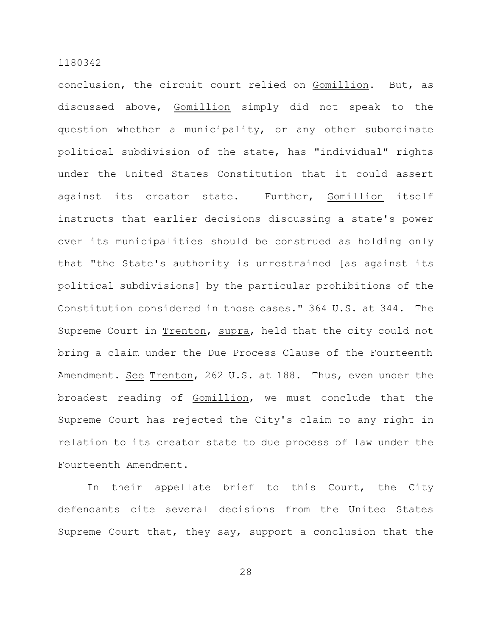conclusion, the circuit court relied on Gomillion. But, as discussed above, Gomillion simply did not speak to the question whether a municipality, or any other subordinate political subdivision of the state, has "individual" rights under the United States Constitution that it could assert against its creator state. Further, Gomillion itself instructs that earlier decisions discussing a state's power over its municipalities should be construed as holding only that "the State's authority is unrestrained [as against its political subdivisions] by the particular prohibitions of the Constitution considered in those cases." 364 U.S. at 344. The Supreme Court in Trenton, supra, held that the city could not bring a claim under the Due Process Clause of the Fourteenth Amendment. See Trenton, 262 U.S. at 188. Thus, even under the broadest reading of Gomillion, we must conclude that the Supreme Court has rejected the City's claim to any right in relation to its creator state to due process of law under the Fourteenth Amendment.

In their appellate brief to this Court, the City defendants cite several decisions from the United States Supreme Court that, they say, support a conclusion that the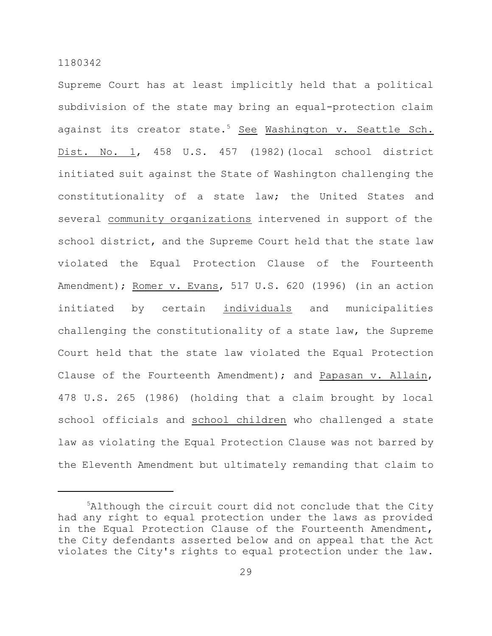Supreme Court has at least implicitly held that a political subdivision of the state may bring an equal-protection claim against its creator state.<sup>5</sup> See Washington v. Seattle Sch. Dist. No. 1, 458 U.S. 457 (1982)(local school district initiated suit against the State of Washington challenging the constitutionality of a state law; the United States and several community organizations intervened in support of the school district, and the Supreme Court held that the state law violated the Equal Protection Clause of the Fourteenth Amendment); Romer v. Evans, 517 U.S. 620 (1996) (in an action initiated by certain individuals and municipalities challenging the constitutionality of a state law, the Supreme Court held that the state law violated the Equal Protection Clause of the Fourteenth Amendment); and Papasan v. Allain, 478 U.S. 265 (1986) (holding that a claim brought by local school officials and school children who challenged a state law as violating the Equal Protection Clause was not barred by the Eleventh Amendment but ultimately remanding that claim to

<sup>5</sup>Although the circuit court did not conclude that the City had any right to equal protection under the laws as provided in the Equal Protection Clause of the Fourteenth Amendment, the City defendants asserted below and on appeal that the Act violates the City's rights to equal protection under the law.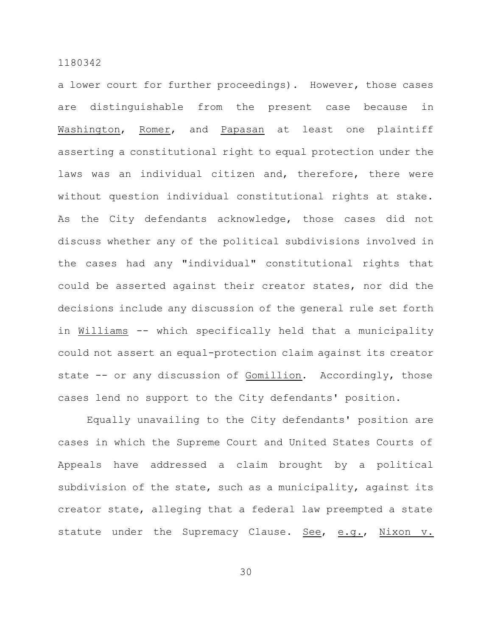a lower court for further proceedings). However, those cases are distinguishable from the present case because in Washington, Romer, and Papasan at least one plaintiff asserting a constitutional right to equal protection under the laws was an individual citizen and, therefore, there were without question individual constitutional rights at stake. As the City defendants acknowledge, those cases did not discuss whether any of the political subdivisions involved in the cases had any "individual" constitutional rights that could be asserted against their creator states, nor did the decisions include any discussion of the general rule set forth in Williams -- which specifically held that a municipality could not assert an equal-protection claim against its creator state -- or any discussion of Gomillion. Accordingly, those cases lend no support to the City defendants' position.

Equally unavailing to the City defendants' position are cases in which the Supreme Court and United States Courts of Appeals have addressed a claim brought by a political subdivision of the state, such as a municipality, against its creator state, alleging that a federal law preempted a state statute under the Supremacy Clause. See, e.g., Nixon v.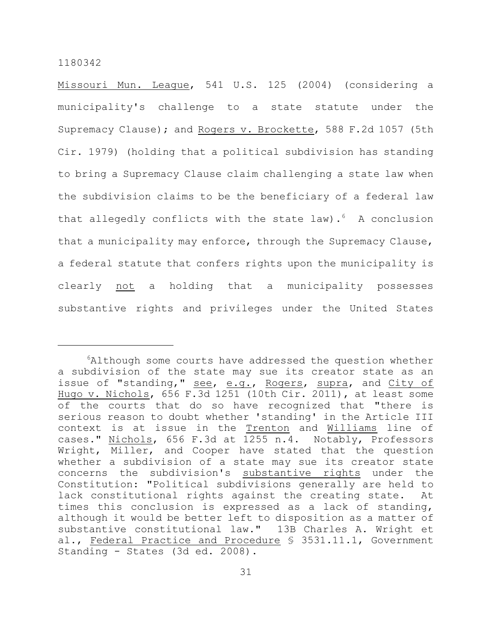Missouri Mun. League, 541 U.S. 125 (2004) (considering a municipality's challenge to a state statute under the Supremacy Clause); and Rogers v. Brockette, 588 F.2d 1057 (5th Cir. 1979) (holding that a political subdivision has standing to bring a Supremacy Clause claim challenging a state law when the subdivision claims to be the beneficiary of a federal law that allegedly conflicts with the state law). $6$  A conclusion that a municipality may enforce, through the Supremacy Clause, a federal statute that confers rights upon the municipality is clearly not a holding that a municipality possesses substantive rights and privileges under the United States

 $6$ Although some courts have addressed the question whether a subdivision of the state may sue its creator state as an issue of "standing," see, e.g., Rogers, supra, and City of Hugo v. Nichols, 656 F.3d 1251 (10th Cir. 2011), at least some of the courts that do so have recognized that "there is serious reason to doubt whether 'standing' in the Article III context is at issue in the **Trenton** and **Williams** line of cases." Nichols, 656 F.3d at 1255 n.4. Notably, Professors Wright, Miller, and Cooper have stated that the question whether a subdivision of a state may sue its creator state concerns the subdivision's substantive rights under the Constitution: "Political subdivisions generally are held to lack constitutional rights against the creating state. At times this conclusion is expressed as a lack of standing, although it would be better left to disposition as a matter of substantive constitutional law." 13B Charles A. Wright et al., Federal Practice and Procedure § 3531.11.1, Government Standing - States (3d ed. 2008).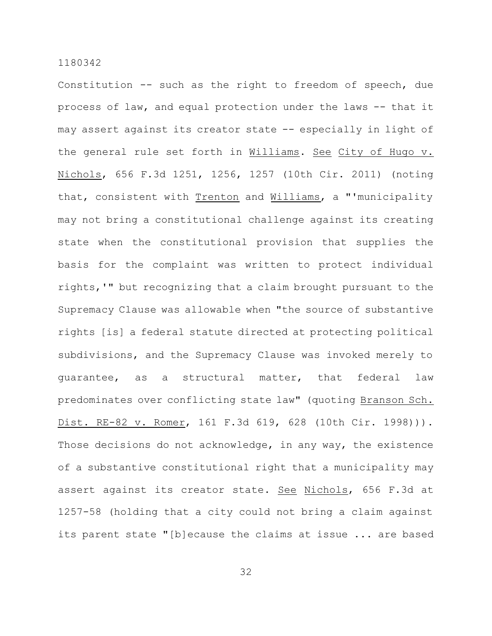Constitution -- such as the right to freedom of speech, due process of law, and equal protection under the laws -- that it may assert against its creator state -- especially in light of the general rule set forth in Williams. See City of Hugo v. Nichols, 656 F.3d 1251, 1256, 1257 (10th Cir. 2011) (noting that, consistent with Trenton and Williams, a "'municipality may not bring a constitutional challenge against its creating state when the constitutional provision that supplies the basis for the complaint was written to protect individual rights,'" but recognizing that a claim brought pursuant to the Supremacy Clause was allowable when "the source of substantive rights [is] a federal statute directed at protecting political subdivisions, and the Supremacy Clause was invoked merely to guarantee, as a structural matter, that federal law predominates over conflicting state law" (quoting Branson Sch. Dist. RE-82 v. Romer, 161 F.3d 619, 628 (10th Cir. 1998))). Those decisions do not acknowledge, in any way, the existence of a substantive constitutional right that a municipality may assert against its creator state. See Nichols, 656 F.3d at 1257-58 (holding that a city could not bring a claim against its parent state "[b]ecause the claims at issue ... are based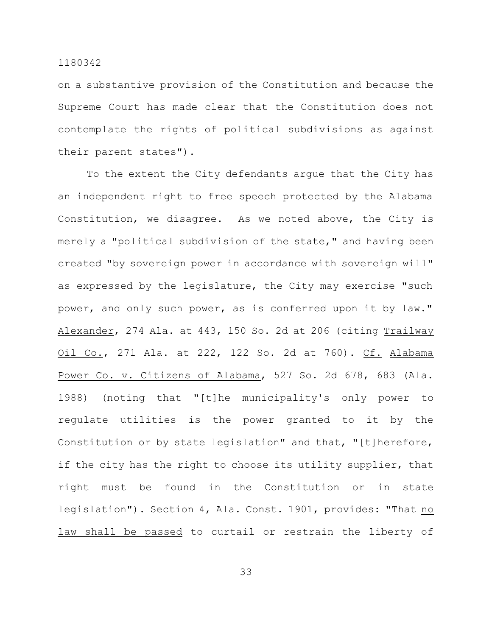on a substantive provision of the Constitution and because the Supreme Court has made clear that the Constitution does not contemplate the rights of political subdivisions as against their parent states").

To the extent the City defendants argue that the City has an independent right to free speech protected by the Alabama Constitution, we disagree. As we noted above, the City is merely a "political subdivision of the state," and having been created "by sovereign power in accordance with sovereign will" as expressed by the legislature, the City may exercise "such power, and only such power, as is conferred upon it by law." Alexander, 274 Ala. at 443, 150 So. 2d at 206 (citing Trailway Oil Co., 271 Ala. at 222, 122 So. 2d at 760). Cf. Alabama Power Co. v. Citizens of Alabama, 527 So. 2d 678, 683 (Ala. 1988) (noting that "[t]he municipality's only power to regulate utilities is the power granted to it by the Constitution or by state legislation" and that, "[t]herefore, if the city has the right to choose its utility supplier, that right must be found in the Constitution or in state legislation"). Section 4, Ala. Const. 1901, provides: "That no law shall be passed to curtail or restrain the liberty of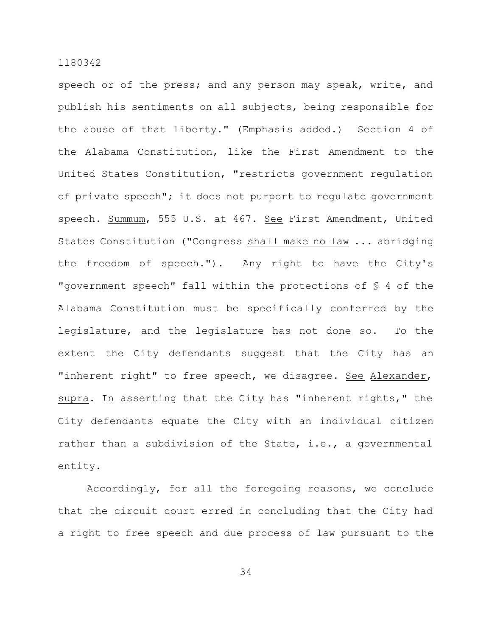speech or of the press; and any person may speak, write, and publish his sentiments on all subjects, being responsible for the abuse of that liberty." (Emphasis added.) Section 4 of the Alabama Constitution, like the First Amendment to the United States Constitution, "restricts government regulation of private speech"; it does not purport to regulate government speech. Summum, 555 U.S. at 467. See First Amendment, United States Constitution ("Congress shall make no law ... abridging the freedom of speech."). Any right to have the City's "government speech" fall within the protections of § 4 of the Alabama Constitution must be specifically conferred by the legislature, and the legislature has not done so. To the extent the City defendants suggest that the City has an "inherent right" to free speech, we disagree. See Alexander, supra. In asserting that the City has "inherent rights," the City defendants equate the City with an individual citizen rather than a subdivision of the State, i.e., a governmental entity.

Accordingly, for all the foregoing reasons, we conclude that the circuit court erred in concluding that the City had a right to free speech and due process of law pursuant to the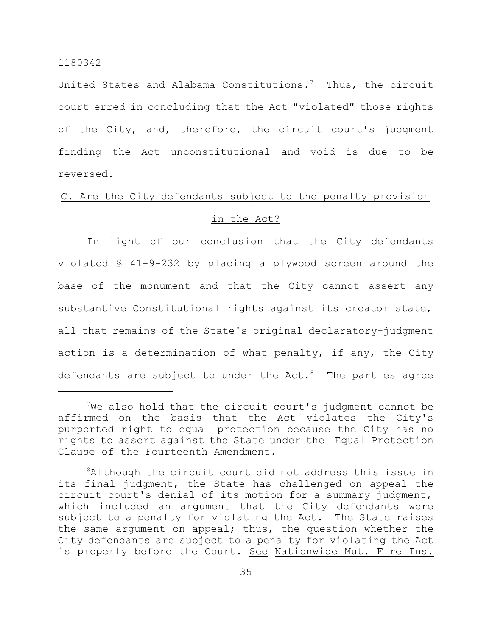United States and Alabama Constitutions.<sup>7</sup> Thus, the circuit court erred in concluding that the Act "violated" those rights of the City, and, therefore, the circuit court's judgment finding the Act unconstitutional and void is due to be reversed.

# C. Are the City defendants subject to the penalty provision

# in the Act?

In light of our conclusion that the City defendants violated § 41-9-232 by placing a plywood screen around the base of the monument and that the City cannot assert any substantive Constitutional rights against its creator state, all that remains of the State's original declaratory-judgment action is a determination of what penalty, if any, the City defendants are subject to under the  $Act.^{8}$  The parties agree

 $7$ We also hold that the circuit court's judgment cannot be affirmed on the basis that the Act violates the City's purported right to equal protection because the City has no rights to assert against the State under the Equal Protection Clause of the Fourteenth Amendment.

<sup>&</sup>lt;sup>8</sup>Although the circuit court did not address this issue in its final judgment, the State has challenged on appeal the circuit court's denial of its motion for a summary judgment, which included an argument that the City defendants were subject to a penalty for violating the Act. The State raises the same argument on appeal; thus, the question whether the City defendants are subject to a penalty for violating the Act is properly before the Court. See Nationwide Mut. Fire Ins.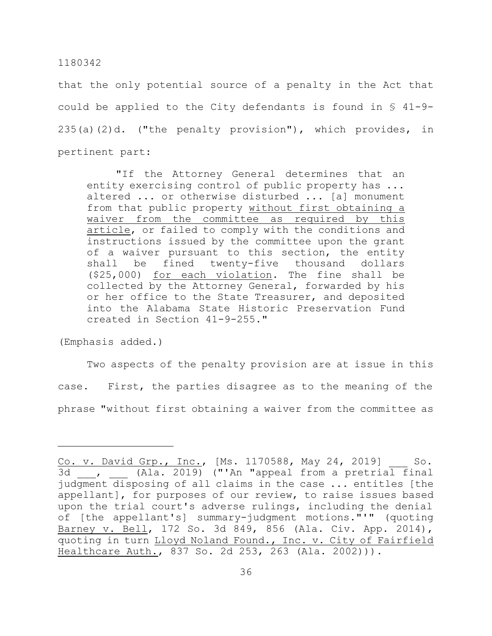that the only potential source of a penalty in the Act that could be applied to the City defendants is found in § 41-9- 235(a)(2)d. ("the penalty provision"), which provides, in pertinent part:

"If the Attorney General determines that an entity exercising control of public property has ... altered ... or otherwise disturbed ... [a] monument from that public property without first obtaining a waiver from the committee as required by this article, or failed to comply with the conditions and instructions issued by the committee upon the grant of a waiver pursuant to this section, the entity shall be fined twenty-five thousand dollars (\$25,000) for each violation. The fine shall be collected by the Attorney General, forwarded by his or her office to the State Treasurer, and deposited into the Alabama State Historic Preservation Fund created in Section 41-9-255."

(Emphasis added.)

Two aspects of the penalty provision are at issue in this case. First, the parties disagree as to the meaning of the phrase "without first obtaining a waiver from the committee as

Co. v. David Grp., Inc., [Ms. 1170588, May 24, 2019] \_\_\_ So. 3d , (Ala. 2019) ("'An "appeal from a pretrial final judgment disposing of all claims in the case ... entitles [the appellant], for purposes of our review, to raise issues based upon the trial court's adverse rulings, including the denial of [the appellant's] summary-judgment motions."'" (quoting Barney v. Bell, 172 So. 3d 849, 856 (Ala. Civ. App. 2014), quoting in turn Lloyd Noland Found., Inc. v. City of Fairfield Healthcare Auth., 837 So. 2d 253, 263 (Ala. 2002))).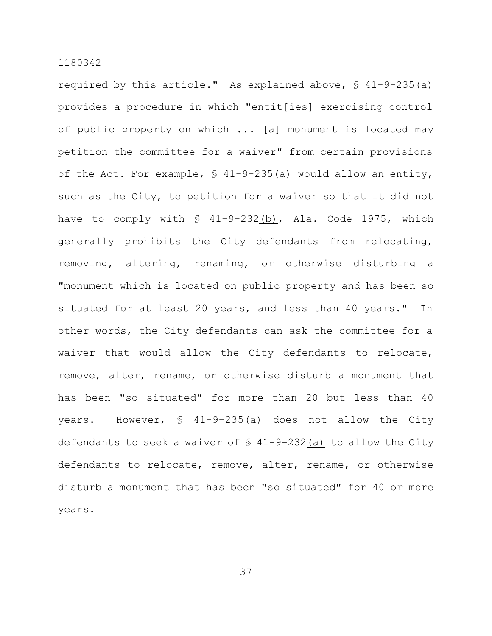required by this article." As explained above, § 41-9-235(a) provides a procedure in which "entit[ies] exercising control of public property on which ... [a] monument is located may petition the committee for a waiver" from certain provisions of the Act. For example, § 41-9-235(a) would allow an entity, such as the City, to petition for a waiver so that it did not have to comply with  $\frac{1}{2}$  41-9-232(b), Ala. Code 1975, which generally prohibits the City defendants from relocating, removing, altering, renaming, or otherwise disturbing a "monument which is located on public property and has been so situated for at least 20 years, and less than 40 years." In other words, the City defendants can ask the committee for a waiver that would allow the City defendants to relocate, remove, alter, rename, or otherwise disturb a monument that has been "so situated" for more than 20 but less than 40 years. However, § 41-9-235(a) does not allow the City defendants to seek a waiver of  $\frac{1}{2}$  41-9-232(a) to allow the City defendants to relocate, remove, alter, rename, or otherwise disturb a monument that has been "so situated" for 40 or more years.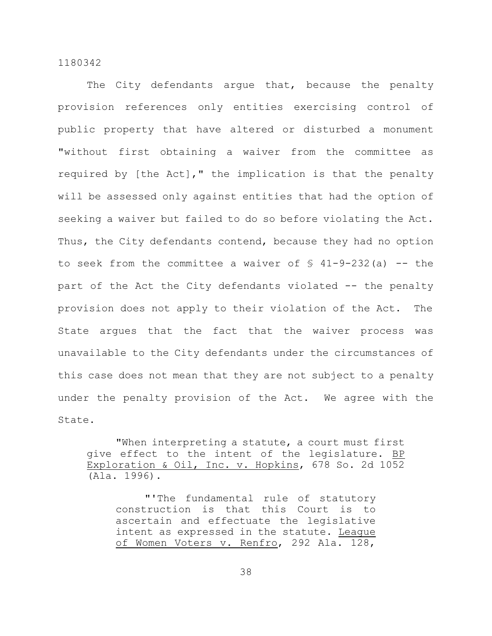The City defendants arque that, because the penalty provision references only entities exercising control of public property that have altered or disturbed a monument "without first obtaining a waiver from the committee as required by [the Act]," the implication is that the penalty will be assessed only against entities that had the option of seeking a waiver but failed to do so before violating the Act. Thus, the City defendants contend, because they had no option to seek from the committee a waiver of  $\frac{6}{5}$  41-9-232(a) -- the part of the Act the City defendants violated -- the penalty provision does not apply to their violation of the Act. The State argues that the fact that the waiver process was unavailable to the City defendants under the circumstances of this case does not mean that they are not subject to a penalty under the penalty provision of the Act. We agree with the State.

"When interpreting a statute, a court must first give effect to the intent of the legislature. BP Exploration & Oil, Inc. v. Hopkins, 678 So. 2d 1052 (Ala. 1996).

"'The fundamental rule of statutory construction is that this Court is to ascertain and effectuate the legislative intent as expressed in the statute. League of Women Voters v. Renfro, 292 Ala. 128,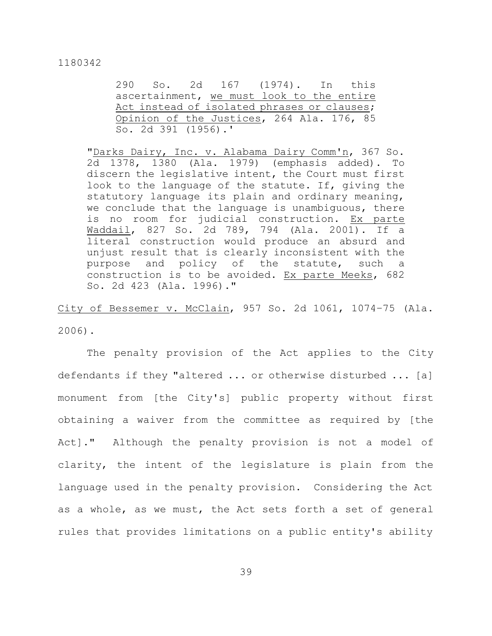290 So. 2d 167 (1974). In this ascertainment, we must look to the entire Act instead of isolated phrases or clauses; Opinion of the Justices, 264 Ala. 176, 85 So. 2d 391 (1956).'

"Darks Dairy, Inc. v. Alabama Dairy Comm'n, 367 So. 2d 1378, 1380 (Ala. 1979) (emphasis added). To discern the legislative intent, the Court must first look to the language of the statute. If, giving the statutory language its plain and ordinary meaning, we conclude that the language is unambiguous, there is no room for judicial construction. Ex parte Waddail, 827 So. 2d 789, 794 (Ala. 2001). If a literal construction would produce an absurd and unjust result that is clearly inconsistent with the purpose and policy of the statute, such a construction is to be avoided. Ex parte Meeks, 682 So. 2d 423 (Ala. 1996)."

City of Bessemer v. McClain, 957 So. 2d 1061, 1074–75 (Ala. 2006).

The penalty provision of the Act applies to the City defendants if they "altered ... or otherwise disturbed ... [a] monument from [the City's] public property without first obtaining a waiver from the committee as required by [the Act]." Although the penalty provision is not a model of clarity, the intent of the legislature is plain from the language used in the penalty provision. Considering the Act as a whole, as we must, the Act sets forth a set of general rules that provides limitations on a public entity's ability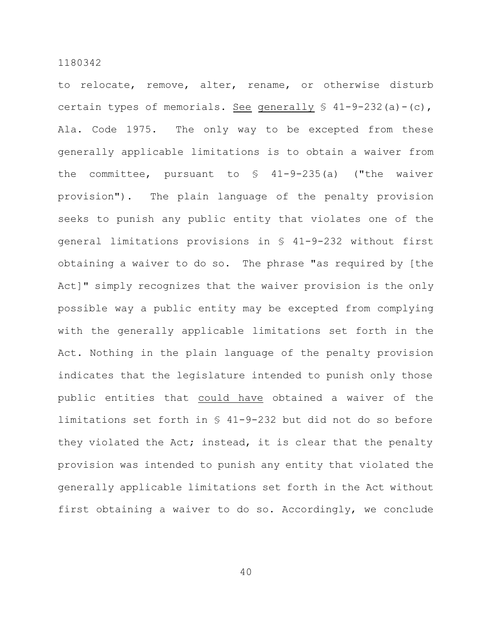to relocate, remove, alter, rename, or otherwise disturb certain types of memorials. See generally  $\S$  41-9-232(a)-(c), Ala. Code 1975. The only way to be excepted from these generally applicable limitations is to obtain a waiver from the committee, pursuant to § 41-9-235(a) ("the waiver provision"). The plain language of the penalty provision seeks to punish any public entity that violates one of the general limitations provisions in § 41-9-232 without first obtaining a waiver to do so. The phrase "as required by [the Act]" simply recognizes that the waiver provision is the only possible way a public entity may be excepted from complying with the generally applicable limitations set forth in the Act. Nothing in the plain language of the penalty provision indicates that the legislature intended to punish only those public entities that could have obtained a waiver of the limitations set forth in § 41-9-232 but did not do so before they violated the Act; instead, it is clear that the penalty provision was intended to punish any entity that violated the generally applicable limitations set forth in the Act without first obtaining a waiver to do so. Accordingly, we conclude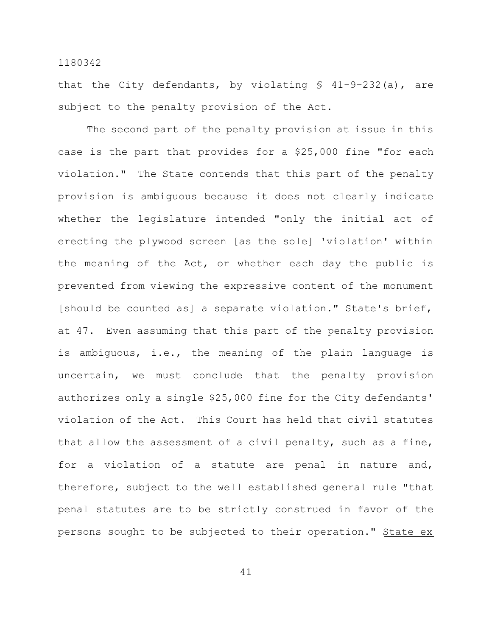that the City defendants, by violating  $$ 41-9-232(a)$ , are subject to the penalty provision of the Act.

The second part of the penalty provision at issue in this case is the part that provides for a \$25,000 fine "for each violation." The State contends that this part of the penalty provision is ambiguous because it does not clearly indicate whether the legislature intended "only the initial act of erecting the plywood screen [as the sole] 'violation' within the meaning of the Act, or whether each day the public is prevented from viewing the expressive content of the monument [should be counted as] a separate violation." State's brief, at 47. Even assuming that this part of the penalty provision is ambiguous, i.e., the meaning of the plain language is uncertain, we must conclude that the penalty provision authorizes only a single \$25,000 fine for the City defendants' violation of the Act. This Court has held that civil statutes that allow the assessment of a civil penalty, such as a fine, for a violation of a statute are penal in nature and, therefore, subject to the well established general rule "that penal statutes are to be strictly construed in favor of the persons sought to be subjected to their operation." State ex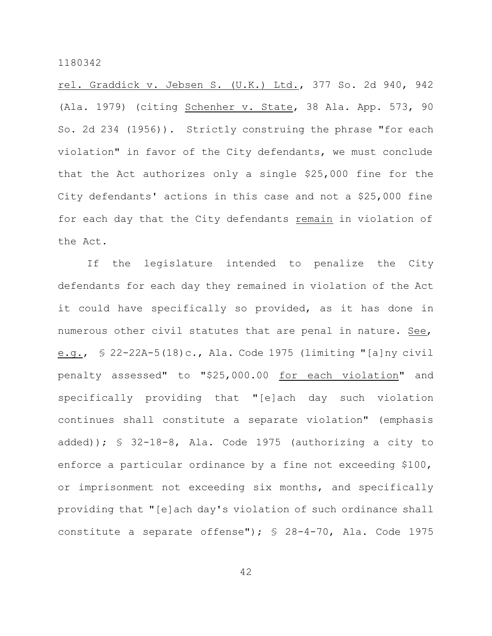rel. Graddick v. Jebsen S. (U.K.) Ltd., 377 So. 2d 940, 942 (Ala. 1979) (citing Schenher v. State, 38 Ala. App. 573, 90 So. 2d 234 (1956)). Strictly construing the phrase "for each violation" in favor of the City defendants, we must conclude that the Act authorizes only a single \$25,000 fine for the City defendants' actions in this case and not a \$25,000 fine for each day that the City defendants remain in violation of the Act.

If the legislature intended to penalize the City defendants for each day they remained in violation of the Act it could have specifically so provided, as it has done in numerous other civil statutes that are penal in nature. See, e.g., § 22-22A-5(18)c., Ala. Code 1975 (limiting "[a]ny civil penalty assessed" to "\$25,000.00 for each violation" and specifically providing that "[e]ach day such violation continues shall constitute a separate violation" (emphasis added)); § 32-18-8, Ala. Code 1975 (authorizing a city to enforce a particular ordinance by a fine not exceeding \$100, or imprisonment not exceeding six months, and specifically providing that "[e]ach day's violation of such ordinance shall constitute a separate offense"); § 28-4-70, Ala. Code 1975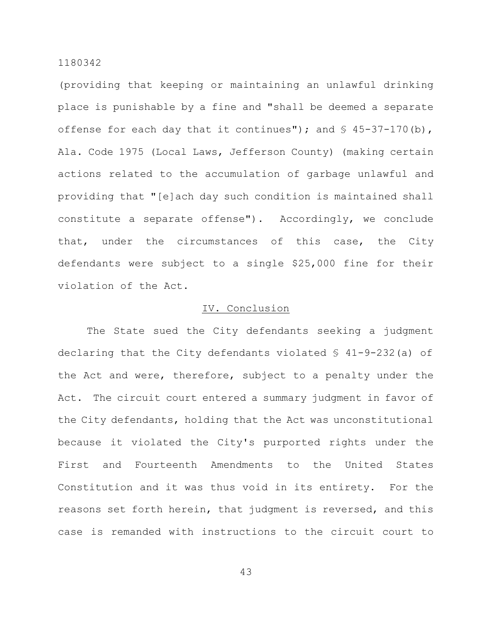(providing that keeping or maintaining an unlawful drinking place is punishable by a fine and "shall be deemed a separate offense for each day that it continues"); and  $\S$  45-37-170(b), Ala. Code 1975 (Local Laws, Jefferson County) (making certain actions related to the accumulation of garbage unlawful and providing that "[e]ach day such condition is maintained shall constitute a separate offense"). Accordingly, we conclude that, under the circumstances of this case, the City defendants were subject to a single \$25,000 fine for their violation of the Act.

# IV. Conclusion

The State sued the City defendants seeking a judgment declaring that the City defendants violated § 41-9-232(a) of the Act and were, therefore, subject to a penalty under the Act. The circuit court entered a summary judgment in favor of the City defendants, holding that the Act was unconstitutional because it violated the City's purported rights under the First and Fourteenth Amendments to the United States Constitution and it was thus void in its entirety. For the reasons set forth herein, that judgment is reversed, and this case is remanded with instructions to the circuit court to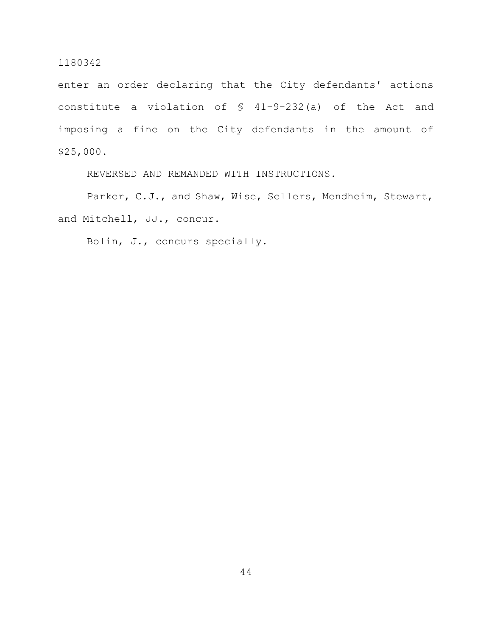enter an order declaring that the City defendants' actions constitute a violation of § 41-9-232(a) of the Act and imposing a fine on the City defendants in the amount of \$25,000.

REVERSED AND REMANDED WITH INSTRUCTIONS.

Parker, C.J., and Shaw, Wise, Sellers, Mendheim, Stewart, and Mitchell, JJ., concur.

Bolin, J., concurs specially.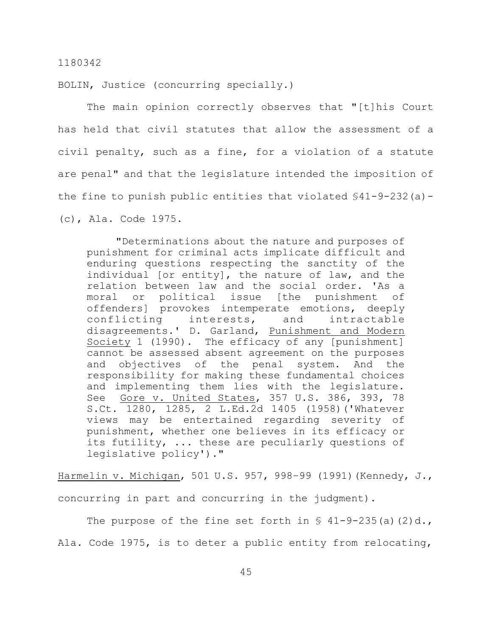BOLIN, Justice (concurring specially.)

The main opinion correctly observes that "[t]his Court has held that civil statutes that allow the assessment of a civil penalty, such as a fine, for a violation of a statute are penal" and that the legislature intended the imposition of the fine to punish public entities that violated  $$41-9-232(a)-$ (c), Ala. Code 1975.

"Determinations about the nature and purposes of punishment for criminal acts implicate difficult and enduring questions respecting the sanctity of the individual [or entity], the nature of law, and the relation between law and the social order. 'As a moral or political issue [the punishment of offenders] provokes intemperate emotions, deeply conflicting interests, and intractable disagreements.' D. Garland, Punishment and Modern Society 1 (1990). The efficacy of any [punishment] cannot be assessed absent agreement on the purposes and objectives of the penal system. And the responsibility for making these fundamental choices and implementing them lies with the legislature. See Gore v. United States, 357 U.S. 386, 393, 78 S.Ct. 1280, 1285, 2 L.Ed.2d 1405 (1958)('Whatever views may be entertained regarding severity of punishment, whether one believes in its efficacy or its futility, ... these are peculiarly questions of legislative policy')."

Harmelin v. Michigan, 501 U.S. 957, 998–99 (1991)(Kennedy, J., concurring in part and concurring in the judgment).

The purpose of the fine set forth in  $\S$  41-9-235(a)(2)d., Ala. Code 1975, is to deter a public entity from relocating,